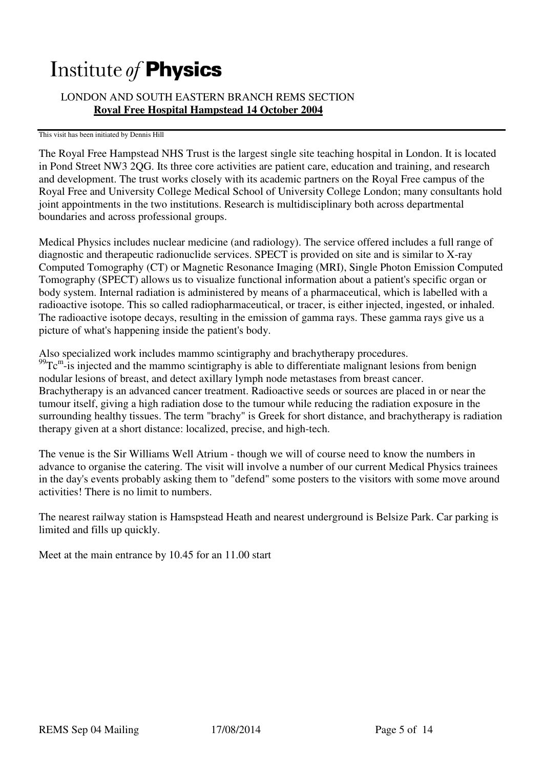# Institute of **Physics**

## LONDON AND SOUTH EASTERN BRANCH REMS SECTION **Royal Free Hospital Hampstead 14 October 2004**

#### This visit has been initiated by Dennis Hill

The Royal Free Hampstead NHS Trust is the largest single site teaching hospital in London. It is located in Pond Street NW3 2QG. Its three core activities are patient care, education and training, and research and development. The trust works closely with its academic partners on the Royal Free campus of the Royal Free and University College Medical School of University College London; many consultants hold joint appointments in the two institutions. Research is multidisciplinary both across departmental boundaries and across professional groups.

Medical Physics includes nuclear medicine (and radiology). The service offered includes a full range of diagnostic and therapeutic radionuclide services. SPECT is provided on site and is similar to X-ray Computed Tomography (CT) or Magnetic Resonance Imaging (MRI), Single Photon Emission Computed Tomography (SPECT) allows us to visualize functional information about a patient's specific organ or body system. Internal radiation is administered by means of a pharmaceutical, which is labelled with a radioactive isotope. This so called radiopharmaceutical, or tracer, is either injected, ingested, or inhaled. The radioactive isotope decays, resulting in the emission of gamma rays. These gamma rays give us a picture of what's happening inside the patient's body.

Also specialized work includes mammo scintigraphy and brachytherapy procedures.  $^{99}$ Tc<sup>m</sup>-is injected and the mammo scintigraphy is able to differentiate malignant lesions from benign nodular lesions of breast, and detect axillary lymph node metastases from breast cancer. Brachytherapy is an advanced cancer treatment. Radioactive seeds or sources are placed in or near the tumour itself, giving a high radiation dose to the tumour while reducing the radiation exposure in the surrounding healthy tissues. The term "brachy" is Greek for short distance, and brachytherapy is radiation therapy given at a short distance: localized, precise, and high-tech.

The venue is the Sir Williams Well Atrium - though we will of course need to know the numbers in advance to organise the catering. The visit will involve a number of our current Medical Physics trainees in the day's events probably asking them to "defend" some posters to the visitors with some move around activities! There is no limit to numbers.

The nearest railway station is Hamspstead Heath and nearest underground is Belsize Park. Car parking is limited and fills up quickly.

Meet at the main entrance by 10.45 for an 11.00 start